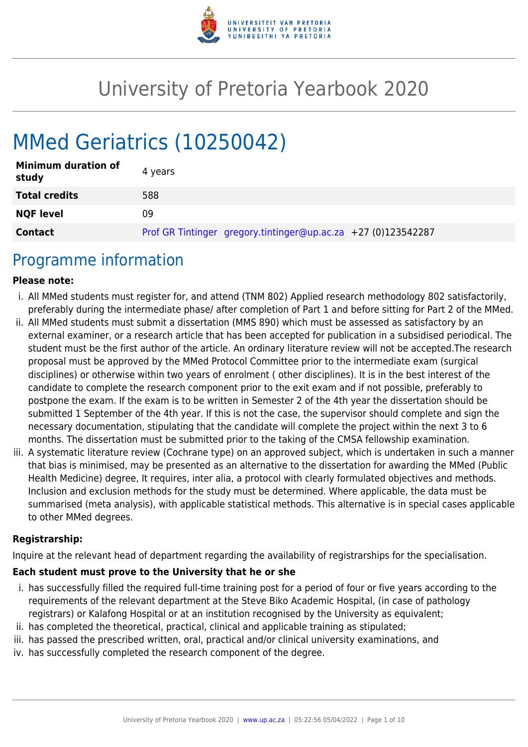

# University of Pretoria Yearbook 2020

# MMed Geriatrics (10250042)

| <b>Minimum duration of</b><br>study | 4 years                                                       |
|-------------------------------------|---------------------------------------------------------------|
| <b>Total credits</b>                | 588                                                           |
| <b>NQF level</b>                    | 09                                                            |
| <b>Contact</b>                      | Prof GR Tintinger gregory.tintinger@up.ac.za +27 (0)123542287 |

## Programme information

#### **Please note:**

- i. All MMed students must register for, and attend (TNM 802) Applied research methodology 802 satisfactorily, preferably during the intermediate phase/ after completion of Part 1 and before sitting for Part 2 of the MMed.
- ii. All MMed students must submit a dissertation (MMS 890) which must be assessed as satisfactory by an external examiner, or a research article that has been accepted for publication in a subsidised periodical. The student must be the first author of the article. An ordinary literature review will not be accepted.The research proposal must be approved by the MMed Protocol Committee prior to the intermediate exam (surgical disciplines) or otherwise within two years of enrolment ( other disciplines). It is in the best interest of the candidate to complete the research component prior to the exit exam and if not possible, preferably to postpone the exam. If the exam is to be written in Semester 2 of the 4th year the dissertation should be submitted 1 September of the 4th year. If this is not the case, the supervisor should complete and sign the necessary documentation, stipulating that the candidate will complete the project within the next 3 to 6 months. The dissertation must be submitted prior to the taking of the CMSA fellowship examination.
- iii. A systematic literature review (Cochrane type) on an approved subject, which is undertaken in such a manner that bias is minimised, may be presented as an alternative to the dissertation for awarding the MMed (Public Health Medicine) degree, It requires, inter alia, a protocol with clearly formulated objectives and methods. Inclusion and exclusion methods for the study must be determined. Where applicable, the data must be summarised (meta analysis), with applicable statistical methods. This alternative is in special cases applicable to other MMed degrees.

#### **Registrarship:**

Inquire at the relevant head of department regarding the availability of registrarships for the specialisation.

#### **Each student must prove to the University that he or she**

- i. has successfully filled the required full-time training post for a period of four or five years according to the requirements of the relevant department at the Steve Biko Academic Hospital, (in case of pathology registrars) or Kalafong Hospital or at an institution recognised by the University as equivalent;
- ii. has completed the theoretical, practical, clinical and applicable training as stipulated;
- iii. has passed the prescribed written, oral, practical and/or clinical university examinations, and
- iv. has successfully completed the research component of the degree.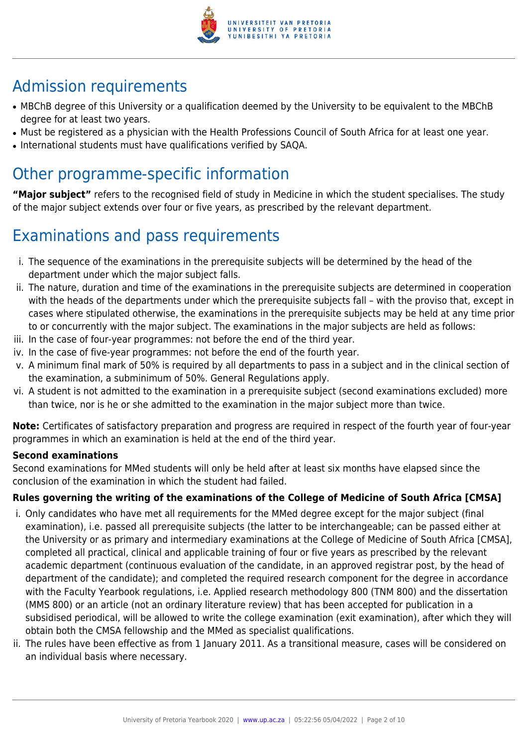

## Admission requirements

- MBChB degree of this University or a qualification deemed by the University to be equivalent to the MBChB degree for at least two years.
- Must be registered as a physician with the Health Professions Council of South Africa for at least one year.
- International students must have qualifications verified by SAQA.

## Other programme-specific information

**"Major subject"** refers to the recognised field of study in Medicine in which the student specialises. The study of the major subject extends over four or five years, as prescribed by the relevant department.

## Examinations and pass requirements

- i. The sequence of the examinations in the prerequisite subjects will be determined by the head of the department under which the major subject falls.
- ii. The nature, duration and time of the examinations in the prerequisite subjects are determined in cooperation with the heads of the departments under which the prerequisite subjects fall – with the proviso that, except in cases where stipulated otherwise, the examinations in the prerequisite subjects may be held at any time prior to or concurrently with the major subject. The examinations in the major subjects are held as follows:
- iii. In the case of four-year programmes: not before the end of the third year.
- iv. In the case of five-year programmes: not before the end of the fourth year.
- v. A minimum final mark of 50% is required by all departments to pass in a subject and in the clinical section of the examination, a subminimum of 50%. General Regulations apply.
- vi. A student is not admitted to the examination in a prerequisite subject (second examinations excluded) more than twice, nor is he or she admitted to the examination in the major subject more than twice.

**Note:** Certificates of satisfactory preparation and progress are required in respect of the fourth year of four-year programmes in which an examination is held at the end of the third year.

### **Second examinations**

Second examinations for MMed students will only be held after at least six months have elapsed since the conclusion of the examination in which the student had failed.

### **Rules governing the writing of the examinations of the College of Medicine of South Africa [CMSA]**

- i. Only candidates who have met all requirements for the MMed degree except for the major subject (final examination), i.e. passed all prerequisite subjects (the latter to be interchangeable; can be passed either at the University or as primary and intermediary examinations at the College of Medicine of South Africa [CMSA], completed all practical, clinical and applicable training of four or five years as prescribed by the relevant academic department (continuous evaluation of the candidate, in an approved registrar post, by the head of department of the candidate); and completed the required research component for the degree in accordance with the Faculty Yearbook regulations, i.e. Applied research methodology 800 (TNM 800) and the dissertation (MMS 800) or an article (not an ordinary literature review) that has been accepted for publication in a subsidised periodical, will be allowed to write the college examination (exit examination), after which they will obtain both the CMSA fellowship and the MMed as specialist qualifications.
- ii. The rules have been effective as from 1 January 2011. As a transitional measure, cases will be considered on an individual basis where necessary.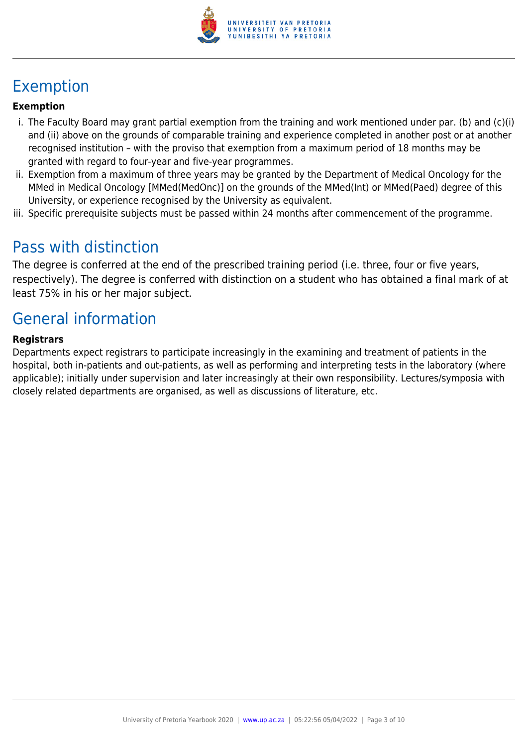

## Exemption

#### **Exemption**

- i. The Faculty Board may grant partial exemption from the training and work mentioned under par. (b) and (c)(i) and (ii) above on the grounds of comparable training and experience completed in another post or at another recognised institution – with the proviso that exemption from a maximum period of 18 months may be granted with regard to four-year and five-year programmes.
- ii. Exemption from a maximum of three years may be granted by the Department of Medical Oncology for the MMed in Medical Oncology [MMed(MedOnc)] on the grounds of the MMed(Int) or MMed(Paed) degree of this University, or experience recognised by the University as equivalent.
- iii. Specific prerequisite subjects must be passed within 24 months after commencement of the programme.

## Pass with distinction

The degree is conferred at the end of the prescribed training period (i.e. three, four or five years, respectively). The degree is conferred with distinction on a student who has obtained a final mark of at least 75% in his or her major subject.

## General information

#### **Registrars**

Departments expect registrars to participate increasingly in the examining and treatment of patients in the hospital, both in-patients and out-patients, as well as performing and interpreting tests in the laboratory (where applicable); initially under supervision and later increasingly at their own responsibility. Lectures/symposia with closely related departments are organised, as well as discussions of literature, etc.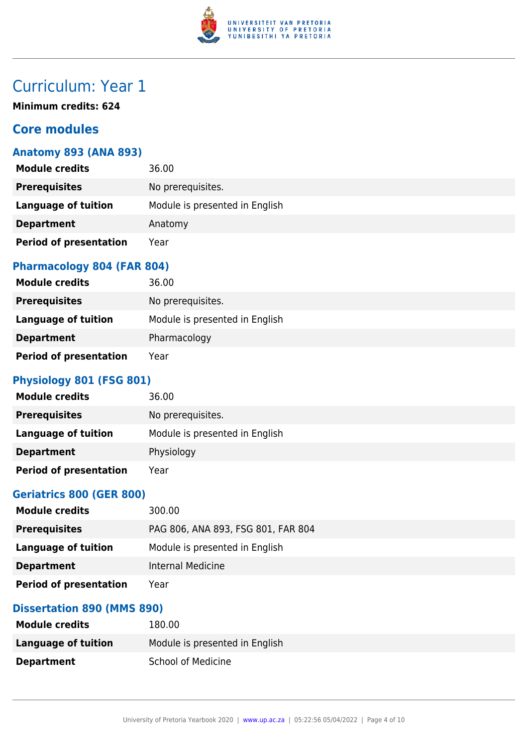

## Curriculum: Year 1

**Minimum credits: 624**

## **Core modules**

### **Anatomy 893 (ANA 893)**

| <b>Module credits</b>         | 36.00                          |
|-------------------------------|--------------------------------|
| <b>Prerequisites</b>          | No prerequisites.              |
| Language of tuition           | Module is presented in English |
| <b>Department</b>             | Anatomy                        |
| <b>Period of presentation</b> | Year                           |

#### **Pharmacology 804 (FAR 804)**

| <b>Module credits</b>         | 36.00                          |
|-------------------------------|--------------------------------|
| <b>Prerequisites</b>          | No prerequisites.              |
| Language of tuition           | Module is presented in English |
| <b>Department</b>             | Pharmacology                   |
| <b>Period of presentation</b> | Year                           |

## **Physiology 801 (FSG 801)**

| <b>Module credits</b>         | 36.00                          |
|-------------------------------|--------------------------------|
| <b>Prerequisites</b>          | No prerequisites.              |
| Language of tuition           | Module is presented in English |
| <b>Department</b>             | Physiology                     |
| <b>Period of presentation</b> | Year                           |

### **Geriatrics 800 (GER 800)**

| <b>Module credits</b>         | 300.00                             |
|-------------------------------|------------------------------------|
| <b>Prerequisites</b>          | PAG 806, ANA 893, FSG 801, FAR 804 |
| Language of tuition           | Module is presented in English     |
| <b>Department</b>             | Internal Medicine                  |
| <b>Period of presentation</b> | Year                               |

### **Dissertation 890 (MMS 890)**

| <b>Module credits</b> | 180.00                         |
|-----------------------|--------------------------------|
| Language of tuition   | Module is presented in English |
| <b>Department</b>     | <b>School of Medicine</b>      |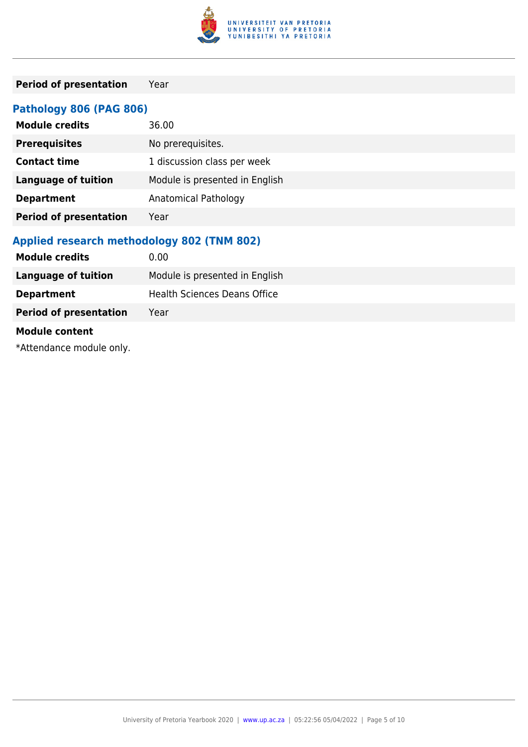

## **Period of presentation** Year

## **Pathology 806 (PAG 806)**

| <b>Module credits</b>         | 36.00                          |
|-------------------------------|--------------------------------|
| <b>Prerequisites</b>          | No prerequisites.              |
| <b>Contact time</b>           | 1 discussion class per week    |
| <b>Language of tuition</b>    | Module is presented in English |
| <b>Department</b>             | Anatomical Pathology           |
| <b>Period of presentation</b> | Year                           |

### **Applied research methodology 802 (TNM 802)**

| 0.00                                |
|-------------------------------------|
| Module is presented in English      |
| <b>Health Sciences Deans Office</b> |
| Year                                |
|                                     |
|                                     |

\*Attendance module only.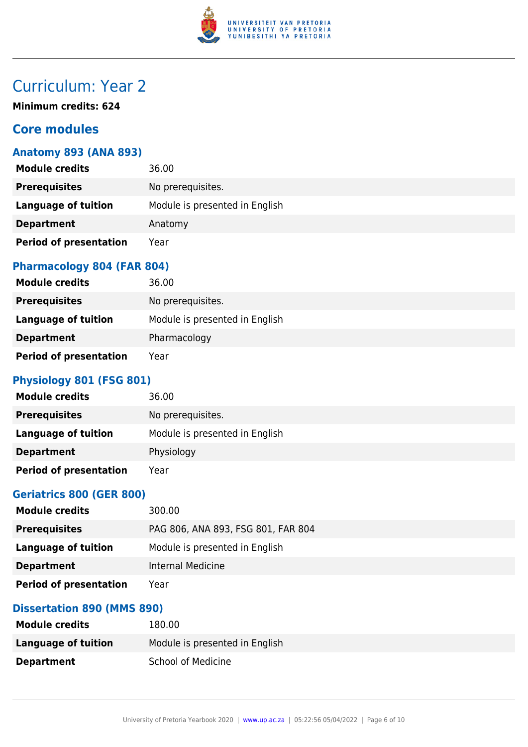

## Curriculum: Year 2

**Minimum credits: 624**

## **Core modules**

### **Anatomy 893 (ANA 893)**

| <b>Module credits</b>         | 36.00                          |
|-------------------------------|--------------------------------|
| <b>Prerequisites</b>          | No prerequisites.              |
| Language of tuition           | Module is presented in English |
| <b>Department</b>             | Anatomy                        |
| <b>Period of presentation</b> | Year                           |

#### **Pharmacology 804 (FAR 804)**

| <b>Module credits</b>         | 36.00                          |
|-------------------------------|--------------------------------|
| <b>Prerequisites</b>          | No prerequisites.              |
| <b>Language of tuition</b>    | Module is presented in English |
| <b>Department</b>             | Pharmacology                   |
| <b>Period of presentation</b> | Year                           |

## **Physiology 801 (FSG 801)**

| <b>Module credits</b>         | 36.00                          |
|-------------------------------|--------------------------------|
| <b>Prerequisites</b>          | No prerequisites.              |
| Language of tuition           | Module is presented in English |
| <b>Department</b>             | Physiology                     |
| <b>Period of presentation</b> | Year                           |

### **Geriatrics 800 (GER 800)**

| <b>Module credits</b>         | 300.00                             |
|-------------------------------|------------------------------------|
| <b>Prerequisites</b>          | PAG 806, ANA 893, FSG 801, FAR 804 |
| Language of tuition           | Module is presented in English     |
| <b>Department</b>             | Internal Medicine                  |
| <b>Period of presentation</b> | Year                               |

### **Dissertation 890 (MMS 890)**

| <b>Module credits</b> | 180.00                         |
|-----------------------|--------------------------------|
| Language of tuition   | Module is presented in English |
| <b>Department</b>     | <b>School of Medicine</b>      |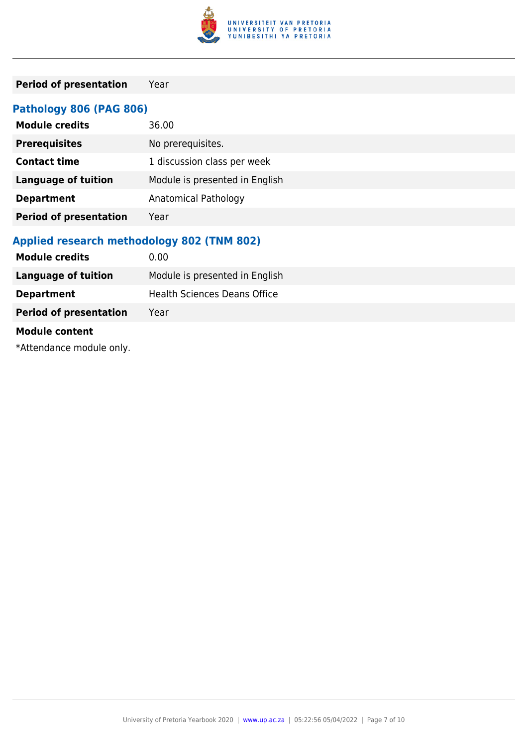

## **Period of presentation** Year

## **Pathology 806 (PAG 806)**

| <b>Module credits</b>         | 36.00                          |
|-------------------------------|--------------------------------|
| <b>Prerequisites</b>          | No prerequisites.              |
| <b>Contact time</b>           | 1 discussion class per week    |
| <b>Language of tuition</b>    | Module is presented in English |
| <b>Department</b>             | Anatomical Pathology           |
| <b>Period of presentation</b> | Year                           |

### **Applied research methodology 802 (TNM 802)**

| <b>Module credits</b>         | 0.00                                |
|-------------------------------|-------------------------------------|
| <b>Language of tuition</b>    | Module is presented in English      |
| <b>Department</b>             | <b>Health Sciences Deans Office</b> |
| <b>Period of presentation</b> | Year                                |
| <b>Module content</b>         |                                     |

\*Attendance module only.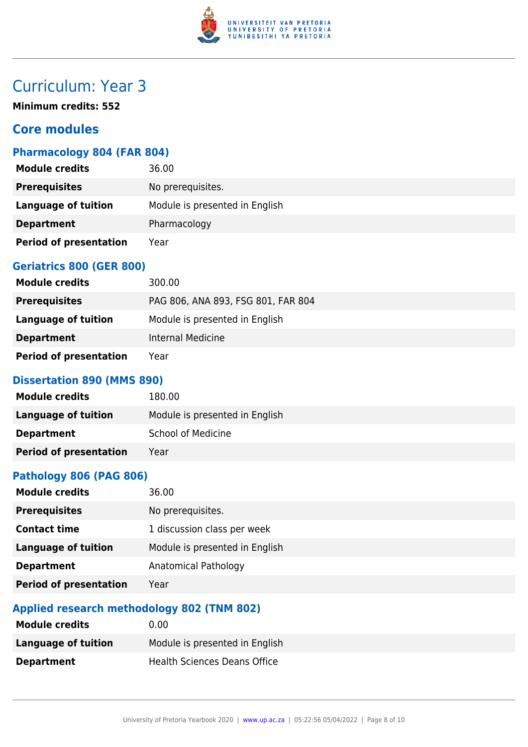

## Curriculum: Year 3

**Minimum credits: 552**

## **Core modules**

### **Pharmacology 804 (FAR 804)**

| <b>Module credits</b>         | 36.00                          |
|-------------------------------|--------------------------------|
| <b>Prerequisites</b>          | No prerequisites.              |
| Language of tuition           | Module is presented in English |
| <b>Department</b>             | Pharmacology                   |
| <b>Period of presentation</b> | Year                           |

### **Geriatrics 800 (GER 800)**

| <b>Module credits</b>         | 300.00                             |
|-------------------------------|------------------------------------|
| <b>Prerequisites</b>          | PAG 806, ANA 893, FSG 801, FAR 804 |
| Language of tuition           | Module is presented in English     |
| <b>Department</b>             | Internal Medicine                  |
| <b>Period of presentation</b> | Year                               |

#### **Dissertation 890 (MMS 890)**

| <b>Module credits</b>         | 180.00                         |
|-------------------------------|--------------------------------|
| Language of tuition           | Module is presented in English |
| <b>Department</b>             | <b>School of Medicine</b>      |
| <b>Period of presentation</b> | Year                           |

#### **Pathology 806 (PAG 806)**

| 36.00                          |
|--------------------------------|
| No prerequisites.              |
| 1 discussion class per week    |
| Module is presented in English |
| <b>Anatomical Pathology</b>    |
| Year                           |
|                                |

## **Applied research methodology 802 (TNM 802)**

| <b>Module credits</b> | 0.00                           |
|-----------------------|--------------------------------|
| Language of tuition   | Module is presented in English |
| <b>Department</b>     | Health Sciences Deans Office   |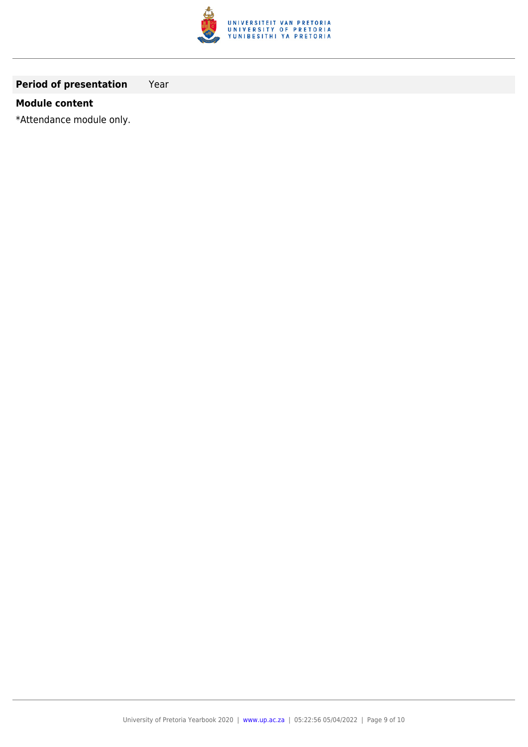

## **Period of presentation** Year

#### **Module content**

\*Attendance module only.